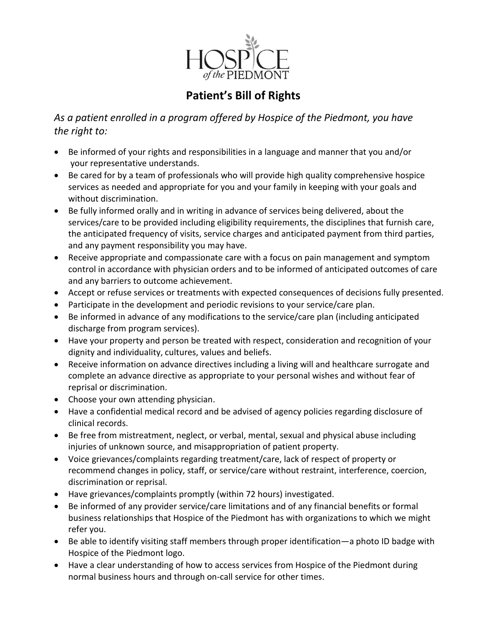

## **Patient's Bill of Rights**

*As a patient enrolled in a program offered by Hospice of the Piedmont, you have the right to:*

- Be informed of your rights and responsibilities in a language and manner that you and/or your representative understands.
- Be cared for by a team of professionals who will provide high quality comprehensive hospice services as needed and appropriate for you and your family in keeping with your goals and without discrimination.
- Be fully informed orally and in writing in advance of services being delivered, about the services/care to be provided including eligibility requirements, the disciplines that furnish care, the anticipated frequency of visits, service charges and anticipated payment from third parties, and any payment responsibility you may have.
- Receive appropriate and compassionate care with a focus on pain management and symptom control in accordance with physician orders and to be informed of anticipated outcomes of care and any barriers to outcome achievement.
- Accept or refuse services or treatments with expected consequences of decisions fully presented.
- Participate in the development and periodic revisions to your service/care plan.
- Be informed in advance of any modifications to the service/care plan (including anticipated discharge from program services).
- Have your property and person be treated with respect, consideration and recognition of your dignity and individuality, cultures, values and beliefs.
- Receive information on advance directives including a living will and healthcare surrogate and complete an advance directive as appropriate to your personal wishes and without fear of reprisal or discrimination.
- Choose your own attending physician.
- Have a confidential medical record and be advised of agency policies regarding disclosure of clinical records.
- Be free from mistreatment, neglect, or verbal, mental, sexual and physical abuse including injuries of unknown source, and misappropriation of patient property.
- Voice grievances/complaints regarding treatment/care, lack of respect of property or recommend changes in policy, staff, or service/care without restraint, interference, coercion, discrimination or reprisal.
- Have grievances/complaints promptly (within 72 hours) investigated.
- Be informed of any provider service/care limitations and of any financial benefits or formal business relationships that Hospice of the Piedmont has with organizations to which we might refer you.
- Be able to identify visiting staff members through proper identification—a photo ID badge with Hospice of the Piedmont logo.
- Have a clear understanding of how to access services from Hospice of the Piedmont during normal business hours and through on-call service for other times.